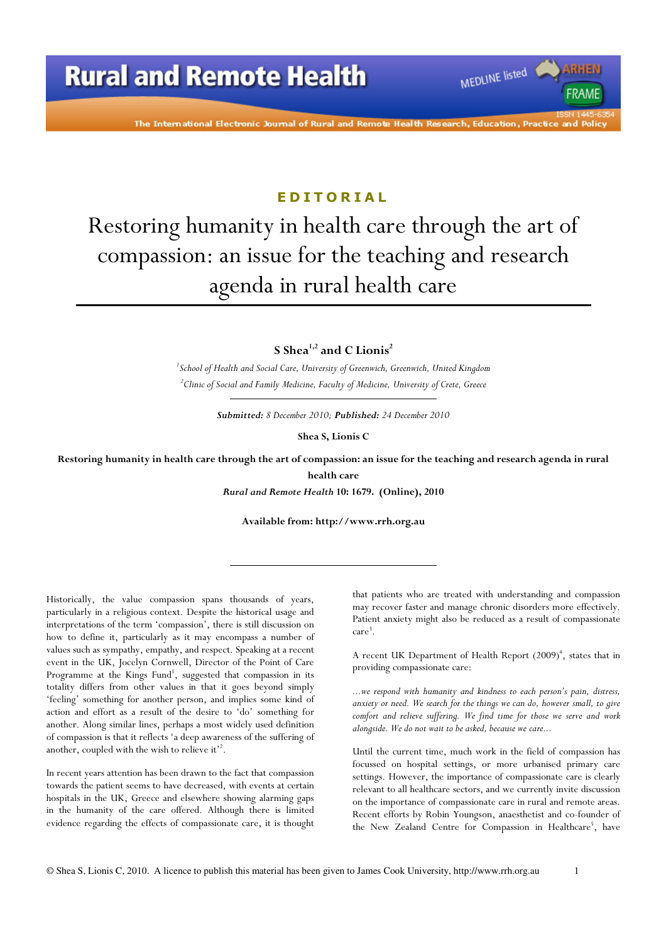

#### **EDITORIAL**

# Restoring humanity in health care through the art of compassion: an issue for the teaching and research agenda in rural health care

S Shea<sup>1,2</sup> and C Lionis<sup>2</sup>

<sup>1</sup> School of Health and Social Care, University of Greenwich, Greenwich, United Kingdom  $^{2}$ Clinic of Social and Family Medicine, Faculty of Medicine, University of Crete, Greece

Submitted: 8 December 2010; Published: 24 December 2010

Shea S, Lionis C

Restoring humanity in health care through the art of compassion: an issue for the teaching and research agenda in rural health care

Rural and Remote Health 10: 1679. (Online), 2010

Available from: http://www.rrh.org.au

Historically, the value compassion spans thousands of years, particularly in a religious context. Despite the historical usage and interpretations of the term 'compassion', there is still discussion on how to define it, particularly as it may encompass a number of values such as sympathy, empathy, and respect. Speaking at a recent event in the UK, Jocelyn Cornwell, Director of the Point of Care Programme at the Kings Fund<sup>1</sup>, suggested that compassion in its totality differs from other values in that it goes beyond simply 'feeling' something for another person, and implies some kind of action and effort as a result of the desire to 'do' something for another. Along similar lines, perhaps a most widely used definition of compassion is that it reflects 'a deep awareness of the suffering of another, coupled with the wish to relieve it'<sup>2</sup>.

In recent years attention has been drawn to the fact that compassion towards the patient seems to have decreased, with events at certain hospitals in the UK, Greece and elsewhere showing alarming gaps in the humanity of the care offered. Although there is limited evidence regarding the effects of compassionate care, it is thought

that patients who are treated with understanding and compassion may recover faster and manage chronic disorders more effectively. Patient anxiety might also be reduced as a result of compassionate care 3 .

MEDLINE listed

**FRAME** 

A recent UK Department of Health Report (2009)<sup>4</sup>, states that in providing compassionate care:

...we respond with humanity and kindness to each person's pain, distress, anxiety or need. We search for the things we can do, however small, to give comfort and relieve suffering. We find time for those we serve and work alongside. We do not wait to be asked, because we care...

Until the current time, much work in the field of compassion has focussed on hospital settings, or more urbanised primary care settings. However, the importance of compassionate care is clearly relevant to all healthcare sectors, and we currently invite discussion on the importance of compassionate care in rural and remote areas. Recent efforts by Robin Youngson, anaesthetist and co-founder of the New Zealand Centre for Compassion in Healthcare<sup>5</sup>, have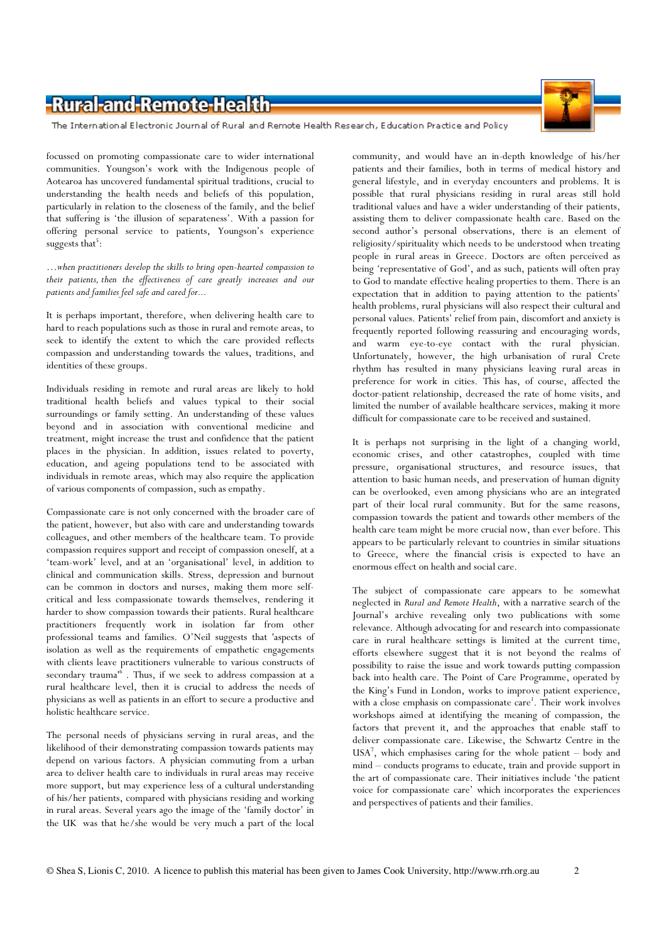### -Rural-and-Remote-Health



The International Electronic Journal of Rural and Remote Health Research, Education Practice and Policy

focussed on promoting compassionate care to wider international communities. Youngson's work with the Indigenous people of Aotearoa has uncovered fundamental spiritual traditions, crucial to understanding the health needs and beliefs of this population, particularly in relation to the closeness of the family, and the belief that suffering is 'the illusion of separateness'. With a passion for offering personal service to patients, Youngson's experience suggests that<sup>5</sup>:

…when practitioners develop the skills to bring open-hearted compassion to their patients, then the effectiveness of care greatly increases and our patients and families feel safe and cared for...

It is perhaps important, therefore, when delivering health care to hard to reach populations such as those in rural and remote areas, to seek to identify the extent to which the care provided reflects compassion and understanding towards the values, traditions, and identities of these groups.

Individuals residing in remote and rural areas are likely to hold traditional health beliefs and values typical to their social surroundings or family setting. An understanding of these values beyond and in association with conventional medicine and treatment, might increase the trust and confidence that the patient places in the physician. In addition, issues related to poverty, education, and ageing populations tend to be associated with individuals in remote areas, which may also require the application of various components of compassion, such as empathy.

Compassionate care is not only concerned with the broader care of the patient, however, but also with care and understanding towards colleagues, and other members of the healthcare team. To provide compassion requires support and receipt of compassion oneself, at a 'team-work' level, and at an 'organisational' level, in addition to clinical and communication skills. Stress, depression and burnout can be common in doctors and nurses, making them more selfcritical and less compassionate towards themselves, rendering it harder to show compassion towards their patients. Rural healthcare practitioners frequently work in isolation far from other professional teams and families. O'Neil suggests that 'aspects of isolation as well as the requirements of empathetic engagements with clients leave practitioners vulnerable to various constructs of secondary trauma<sup>16</sup>. Thus, if we seek to address compassion at a rural healthcare level, then it is crucial to address the needs of physicians as well as patients in an effort to secure a productive and holistic healthcare service.

The personal needs of physicians serving in rural areas, and the likelihood of their demonstrating compassion towards patients may depend on various factors. A physician commuting from a urban area to deliver health care to individuals in rural areas may receive more support, but may experience less of a cultural understanding of his/her patients, compared with physicians residing and working in rural areas. Several years ago the image of the 'family doctor' in the UK was that he/she would be very much a part of the local

community, and would have an in-depth knowledge of his/her patients and their families, both in terms of medical history and general lifestyle, and in everyday encounters and problems. It is possible that rural physicians residing in rural areas still hold traditional values and have a wider understanding of their patients, assisting them to deliver compassionate health care. Based on the second author's personal observations, there is an element of religiosity/spirituality which needs to be understood when treating people in rural areas in Greece. Doctors are often perceived as being 'representative of God', and as such, patients will often pray to God to mandate effective healing properties to them. There is an expectation that in addition to paying attention to the patients' health problems, rural physicians will also respect their cultural and personal values. Patients' relief from pain, discomfort and anxiety is frequently reported following reassuring and encouraging words, and warm eye-to-eye contact with the rural physician. Unfortunately, however, the high urbanisation of rural Crete rhythm has resulted in many physicians leaving rural areas in preference for work in cities. This has, of course, affected the doctor-patient relationship, decreased the rate of home visits, and limited the number of available healthcare services, making it more difficult for compassionate care to be received and sustained.

It is perhaps not surprising in the light of a changing world, economic crises, and other catastrophes, coupled with time pressure, organisational structures, and resource issues, that attention to basic human needs, and preservation of human dignity can be overlooked, even among physicians who are an integrated part of their local rural community. But for the same reasons, compassion towards the patient and towards other members of the health care team might be more crucial now, than ever before. This appears to be particularly relevant to countries in similar situations to Greece, where the financial crisis is expected to have an enormous effect on health and social care.

The subject of compassionate care appears to be somewhat neglected in Rural and Remote Health, with a narrative search of the Journal's archive revealing only two publications with some relevance. Although advocating for and research into compassionate care in rural healthcare settings is limited at the current time, efforts elsewhere suggest that it is not beyond the realms of possibility to raise the issue and work towards putting compassion back into health care. The Point of Care Programme, operated by the King's Fund in London, works to improve patient experience, with a close emphasis on compassionate care<sup>1</sup>. Their work involves workshops aimed at identifying the meaning of compassion, the factors that prevent it, and the approaches that enable staff to deliver compassionate care. Likewise, the Schwartz Centre in the USA<sup>7</sup> , which emphasises caring for the whole patient – body and mind – conducts programs to educate, train and provide support in the art of compassionate care. Their initiatives include 'the patient voice for compassionate care' which incorporates the experiences and perspectives of patients and their families.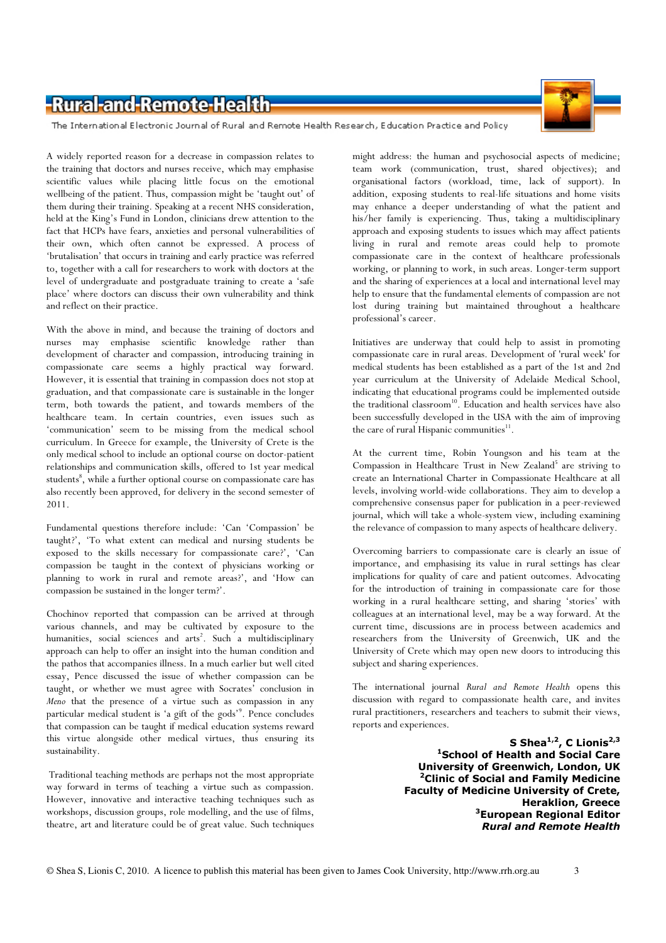## -Rural-and-Remote-Health



The International Electronic Journal of Rural and Remote Health Research, Education Practice and Policy

A widely reported reason for a decrease in compassion relates to the training that doctors and nurses receive, which may emphasise scientific values while placing little focus on the emotional wellbeing of the patient. Thus, compassion might be 'taught out' of them during their training. Speaking at a recent NHS consideration, held at the King's Fund in London, clinicians drew attention to the fact that HCPs have fears, anxieties and personal vulnerabilities of their own, which often cannot be expressed. A process of 'brutalisation' that occurs in training and early practice was referred to, together with a call for researchers to work with doctors at the level of undergraduate and postgraduate training to create a 'safe place' where doctors can discuss their own vulnerability and think and reflect on their practice.

With the above in mind, and because the training of doctors and nurses may emphasise scientific knowledge rather than development of character and compassion, introducing training in compassionate care seems a highly practical way forward. However, it is essential that training in compassion does not stop at graduation, and that compassionate care is sustainable in the longer term, both towards the patient, and towards members of the healthcare team. In certain countries, even issues such as 'communication' seem to be missing from the medical school curriculum. In Greece for example, the University of Crete is the only medical school to include an optional course on doctor-patient relationships and communication skills, offered to 1st year medical students<sup>8</sup>, while a further optional course on compassionate care has also recently been approved, for delivery in the second semester of 2011.

Fundamental questions therefore include: 'Can 'Compassion' be taught?', 'To what extent can medical and nursing students be exposed to the skills necessary for compassionate care?', 'Can compassion be taught in the context of physicians working or planning to work in rural and remote areas?', and 'How can compassion be sustained in the longer term?'.

Chochinov reported that compassion can be arrived at through various channels, and may be cultivated by exposure to the humanities, social sciences and arts<sup>2</sup>. Such a multidisciplinary approach can help to offer an insight into the human condition and the pathos that accompanies illness. In a much earlier but well cited essay, Pence discussed the issue of whether compassion can be taught, or whether we must agree with Socrates' conclusion in Meno that the presence of a virtue such as compassion in any particular medical student is 'a gift of the gods'<sup>9</sup>. Pence concludes that compassion can be taught if medical education systems reward this virtue alongside other medical virtues, thus ensuring its sustainability.

Traditional teaching methods are perhaps not the most appropriate way forward in terms of teaching a virtue such as compassion. However, innovative and interactive teaching techniques such as workshops, discussion groups, role modelling, and the use of films, theatre, art and literature could be of great value. Such techniques

might address: the human and psychosocial aspects of medicine; team work (communication, trust, shared objectives); and organisational factors (workload, time, lack of support). In addition, exposing students to real-life situations and home visits may enhance a deeper understanding of what the patient and his/her family is experiencing. Thus, taking a multidisciplinary approach and exposing students to issues which may affect patients living in rural and remote areas could help to promote compassionate care in the context of healthcare professionals working, or planning to work, in such areas. Longer-term support and the sharing of experiences at a local and international level may help to ensure that the fundamental elements of compassion are not lost during training but maintained throughout a healthcare professional's career.

Initiatives are underway that could help to assist in promoting compassionate care in rural areas. Development of 'rural week' for medical students has been established as a part of the 1st and 2nd year curriculum at the University of Adelaide Medical School, indicating that educational programs could be implemented outside the traditional classroom<sup>10</sup>. Education and health services have also been successfully developed in the USA with the aim of improving the care of rural Hispanic communities<sup>11</sup>.

At the current time, Robin Youngson and his team at the Compassion in Healthcare Trust in New Zealand<sup>5</sup> are striving to create an International Charter in Compassionate Healthcare at all levels, involving world-wide collaborations. They aim to develop a comprehensive consensus paper for publication in a peer-reviewed journal, which will take a whole-system view, including examining the relevance of compassion to many aspects of healthcare delivery.

Overcoming barriers to compassionate care is clearly an issue of importance, and emphasising its value in rural settings has clear implications for quality of care and patient outcomes. Advocating for the introduction of training in compassionate care for those working in a rural healthcare setting, and sharing 'stories' with colleagues at an international level, may be a way forward. At the current time, discussions are in process between academics and researchers from the University of Greenwich, UK and the University of Crete which may open new doors to introducing this subject and sharing experiences.

The international journal Rural and Remote Health opens this discussion with regard to compassionate health care, and invites rural practitioners, researchers and teachers to submit their views, reports and experiences.

> S Shea<sup>1,2</sup>, C Lionis<sup>2,3</sup> <sup>1</sup>School of Health and Social Care University of Greenwich, London, UK <sup>2</sup>Clinic of Social and Family Medicine Faculty of Medicine University of Crete, Heraklion, Greece <sup>3</sup>European Regional Editor Rural and Remote Health